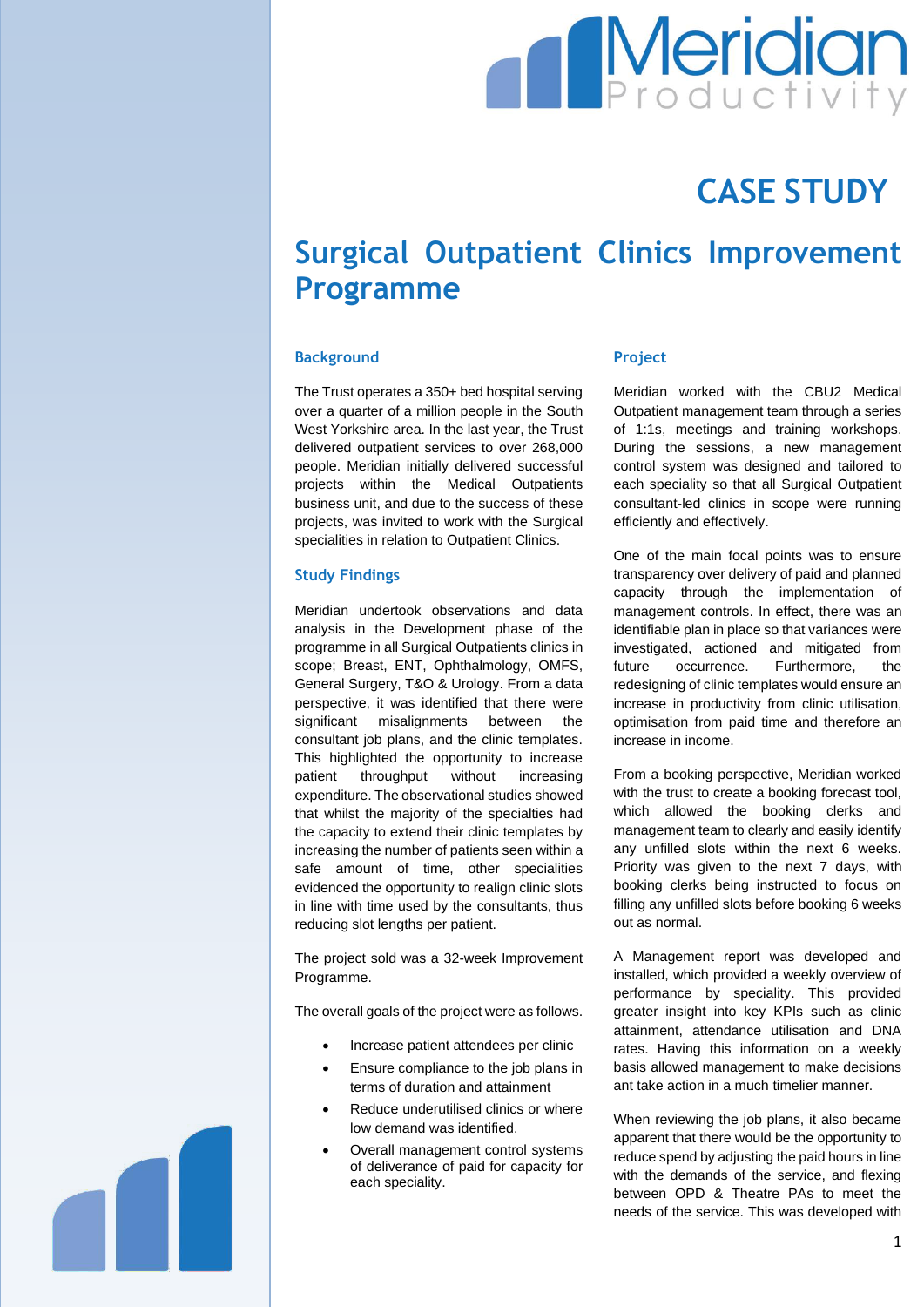# **Meridian**

## **CASE STUDY**

### **Surgical Outpatient Clinics Improvement Programme**

#### **Background**

The Trust operates a 350+ bed hospital serving over a quarter of a million people in the South West Yorkshire area. In the last year, the Trust delivered outpatient services to over 268,000 people. Meridian initially delivered successful projects within the Medical Outpatients business unit, and due to the success of these projects, was invited to work with the Surgical specialities in relation to Outpatient Clinics.

#### **Study Findings**

Meridian undertook observations and data analysis in the Development phase of the programme in all Surgical Outpatients clinics in scope; Breast, ENT, Ophthalmology, OMFS, General Surgery, T&O & Urology. From a data perspective, it was identified that there were significant misalignments between the consultant job plans, and the clinic templates. This highlighted the opportunity to increase patient throughput without increasing expenditure. The observational studies showed that whilst the majority of the specialties had the capacity to extend their clinic templates by increasing the number of patients seen within a safe amount of time, other specialities evidenced the opportunity to realign clinic slots in line with time used by the consultants, thus reducing slot lengths per patient.

The project sold was a 32-week Improvement Programme.

The overall goals of the project were as follows.

- Increase patient attendees per clinic
- Ensure compliance to the job plans in terms of duration and attainment
- Reduce underutilised clinics or where low demand was identified.
- Overall management control systems of deliverance of paid for capacity for each speciality.

#### **Project**

Meridian worked with the CBU2 Medical Outpatient management team through a series of 1:1s, meetings and training workshops. During the sessions, a new management control system was designed and tailored to each speciality so that all Surgical Outpatient consultant-led clinics in scope were running efficiently and effectively.

One of the main focal points was to ensure transparency over delivery of paid and planned capacity through the implementation of management controls. In effect, there was an identifiable plan in place so that variances were investigated, actioned and mitigated from future occurrence. Furthermore, the redesigning of clinic templates would ensure an increase in productivity from clinic utilisation, optimisation from paid time and therefore an increase in income.

From a booking perspective, Meridian worked with the trust to create a booking forecast tool. which allowed the booking clerks and management team to clearly and easily identify any unfilled slots within the next 6 weeks. Priority was given to the next 7 days, with booking clerks being instructed to focus on filling any unfilled slots before booking 6 weeks out as normal.

A Management report was developed and installed, which provided a weekly overview of performance by speciality. This provided greater insight into key KPIs such as clinic attainment, attendance utilisation and DNA rates. Having this information on a weekly basis allowed management to make decisions ant take action in a much timelier manner.

When reviewing the job plans, it also became apparent that there would be the opportunity to reduce spend by adjusting the paid hours in line with the demands of the service, and flexing between OPD & Theatre PAs to meet the needs of the service. This was developed with